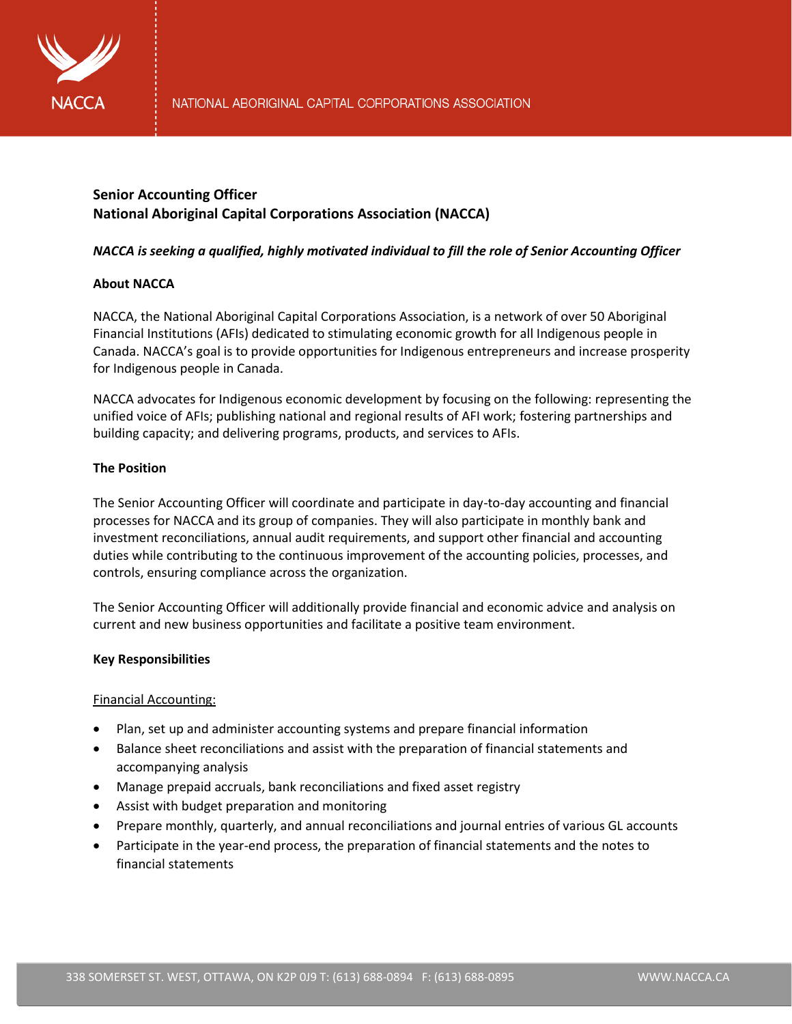

# **Senior Accounting Officer National Aboriginal Capital Corporations Association (NACCA)**

# *NACCA is seeking a qualified, highly motivated individual to fill the role of Senior Accounting Officer*

# **About NACCA**

NACCA, the National Aboriginal Capital Corporations Association, is a network of over 50 Aboriginal Financial Institutions (AFIs) dedicated to stimulating economic growth for all Indigenous people in Canada. NACCA's goal is to provide opportunities for Indigenous entrepreneurs and increase prosperity for Indigenous people in Canada.

NACCA advocates for Indigenous economic development by focusing on the following: representing the unified voice of AFIs; publishing national and regional results of AFI work; fostering partnerships and building capacity; and delivering programs, products, and services to AFIs.

# **The Position**

The Senior Accounting Officer will coordinate and participate in day-to-day accounting and financial processes for NACCA and its group of companies. They will also participate in monthly bank and investment reconciliations, annual audit requirements, and support other financial and accounting duties while contributing to the continuous improvement of the accounting policies, processes, and controls, ensuring compliance across the organization.

The Senior Accounting Officer will additionally provide financial and economic advice and analysis on current and new business opportunities and facilitate a positive team environment.

# **Key Responsibilities**

# Financial Accounting:

- Plan, set up and administer accounting systems and prepare financial information
- Balance sheet reconciliations and assist with the preparation of financial statements and accompanying analysis
- Manage prepaid accruals, bank reconciliations and fixed asset registry
- Assist with budget preparation and monitoring
- Prepare monthly, quarterly, and annual reconciliations and journal entries of various GL accounts
- Participate in the year-end process, the preparation of financial statements and the notes to financial statements